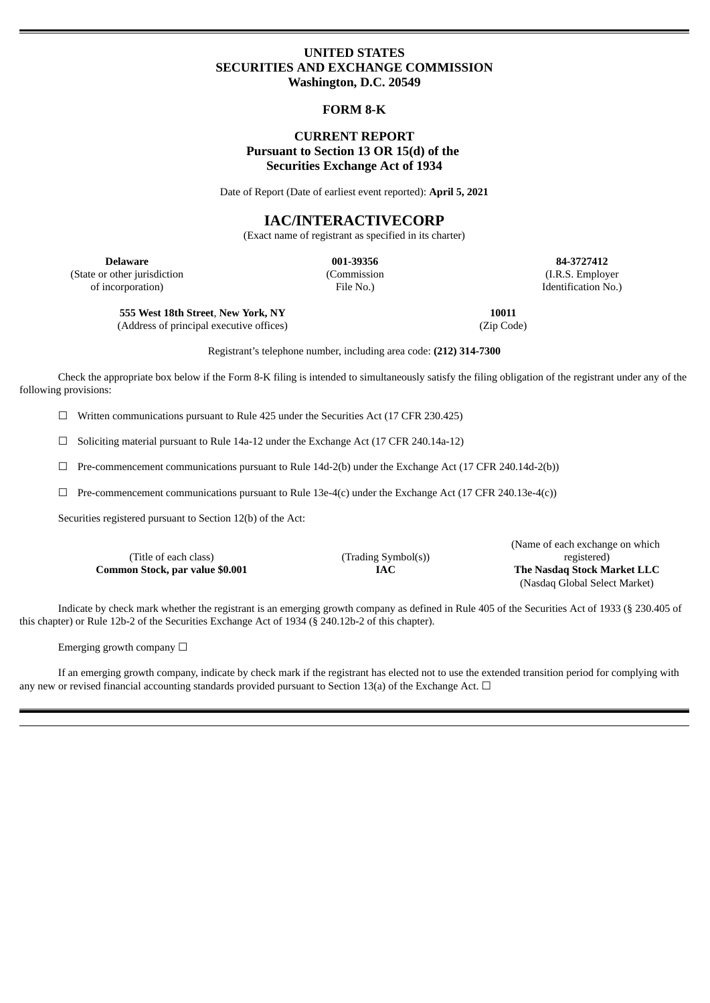# **UNITED STATES SECURITIES AND EXCHANGE COMMISSION Washington, D.C. 20549**

# **FORM 8-K**

# **CURRENT REPORT Pursuant to Section 13 OR 15(d) of the Securities Exchange Act of 1934**

Date of Report (Date of earliest event reported): **April 5, 2021**

# **IAC/INTERACTIVECORP**

(Exact name of registrant as specified in its charter)

**Delaware 001-39356 84-3727412** (State or other jurisdiction (Commission (I.R.S. Employer of incorporation) File No.) Identification No.)

**555 West 18th Street**, **New York, NY 10011** (Address of principal executive offices) (Zip Code)

Registrant's telephone number, including area code: **(212) 314-7300**

Check the appropriate box below if the Form 8-K filing is intended to simultaneously satisfy the filing obligation of the registrant under any of the following provisions:

 $\Box$  Written communications pursuant to Rule 425 under the Securities Act (17 CFR 230.425)

 $\Box$  Soliciting material pursuant to Rule 14a-12 under the Exchange Act (17 CFR 240.14a-12)

 $\Box$  Pre-commencement communications pursuant to Rule 14d-2(b) under the Exchange Act (17 CFR 240.14d-2(b))

 $\Box$  Pre-commencement communications pursuant to Rule 13e-4(c) under the Exchange Act (17 CFR 240.13e-4(c))

Securities registered pursuant to Section 12(b) of the Act:

(Title of each class) (Trading Symbol(s))<br> **on Stock par value \$0.001** (Trading Symbol(s))

(Name of each exchange on which registered) **Common Stock, par value \$0.001 IAC The Nasdaq Stock Market LLC** (Nasdaq Global Select Market)

Indicate by check mark whether the registrant is an emerging growth company as defined in Rule 405 of the Securities Act of 1933 (§ 230.405 of this chapter) or Rule 12b-2 of the Securities Exchange Act of 1934 (§ 240.12b-2 of this chapter).

Emerging growth company  $\Box$ 

If an emerging growth company, indicate by check mark if the registrant has elected not to use the extended transition period for complying with any new or revised financial accounting standards provided pursuant to Section 13(a) of the Exchange Act.  $\Box$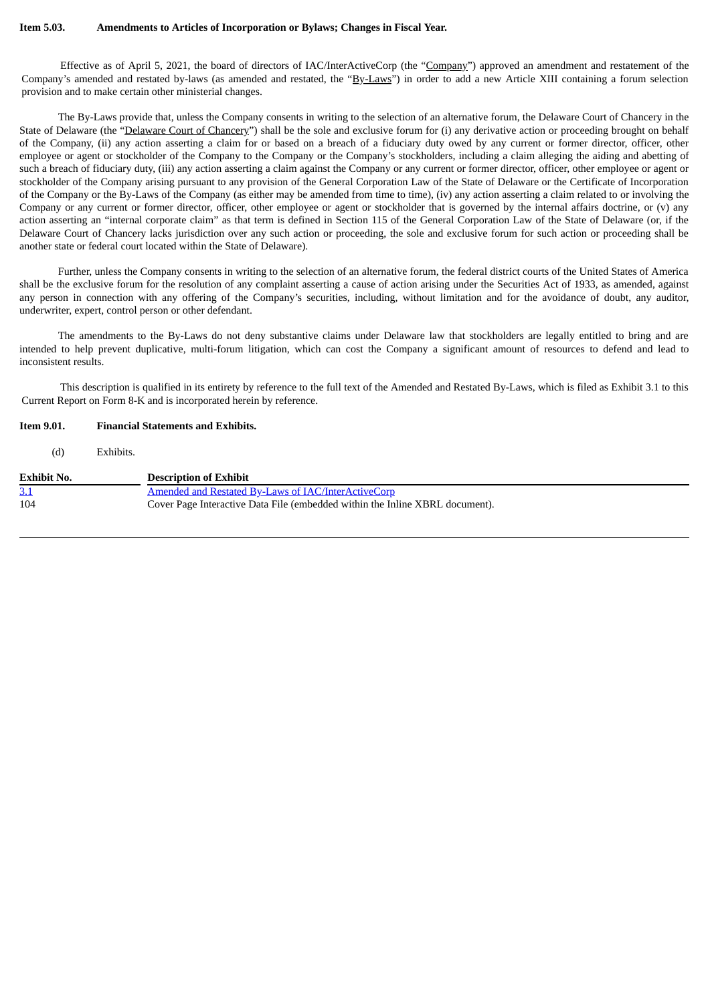Effective as of April 5, 2021, the board of directors of IAC/InterActiveCorp (the "Company") approved an amendment and restatement of the Company's amended and restated by-laws (as amended and restated, the " $By\text{-}Laws$ ") in order to add a new Article XIII containing a forum selection provision and to make certain other ministerial changes.

The By-Laws provide that, unless the Company consents in writing to the selection of an alternative forum, the Delaware Court of Chancery in the State of Delaware (the "Delaware Court of Chancery") shall be the sole and exclusive forum for (i) any derivative action or proceeding brought on behalf of the Company, (ii) any action asserting a claim for or based on a breach of a fiduciary duty owed by any current or former director, officer, other employee or agent or stockholder of the Company to the Company or the Company's stockholders, including a claim alleging the aiding and abetting of such a breach of fiduciary duty, (iii) any action asserting a claim against the Company or any current or former director, officer, other employee or agent or stockholder of the Company arising pursuant to any provision of the General Corporation Law of the State of Delaware or the Certificate of Incorporation of the Company or the By-Laws of the Company (as either may be amended from time to time), (iv) any action asserting a claim related to or involving the Company or any current or former director, officer, other employee or agent or stockholder that is governed by the internal affairs doctrine, or (v) any action asserting an "internal corporate claim" as that term is defined in Section 115 of the General Corporation Law of the State of Delaware (or, if the Delaware Court of Chancery lacks jurisdiction over any such action or proceeding, the sole and exclusive forum for such action or proceeding shall be another state or federal court located within the State of Delaware).

Further, unless the Company consents in writing to the selection of an alternative forum, the federal district courts of the United States of America shall be the exclusive forum for the resolution of any complaint asserting a cause of action arising under the Securities Act of 1933, as amended, against any person in connection with any offering of the Company's securities, including, without limitation and for the avoidance of doubt, any auditor, underwriter, expert, control person or other defendant.

The amendments to the By-Laws do not deny substantive claims under Delaware law that stockholders are legally entitled to bring and are intended to help prevent duplicative, multi-forum litigation, which can cost the Company a significant amount of resources to defend and lead to inconsistent results.

This description is qualified in its entirety by reference to the full text of the Amended and Restated By-Laws, which is filed as Exhibit 3.1 to this Current Report on Form 8-K and is incorporated herein by reference.

### **Item 9.01. Financial Statements and Exhibits.**

(d) Exhibits.

| <b>Exhibit No.</b> | <b>Description of Exhibit</b>                                                |
|--------------------|------------------------------------------------------------------------------|
| <u>3.1</u>         | Amended and Restated By-Laws of IAC/InterActiveCorp                          |
| 104                | Cover Page Interactive Data File (embedded within the Inline XBRL document). |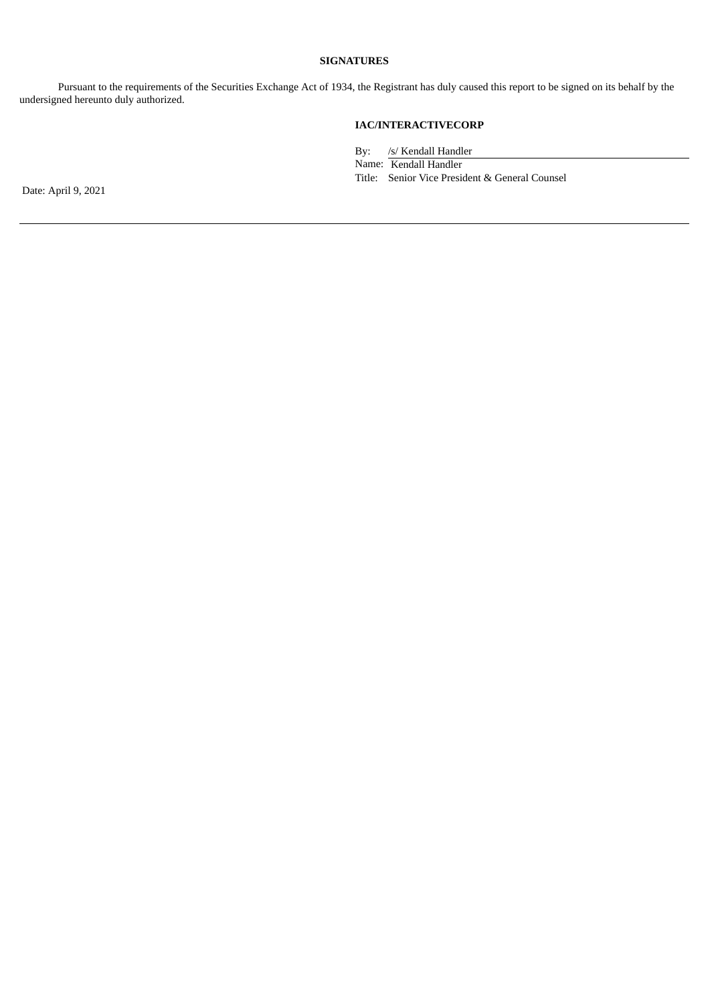# **SIGNATURES**

Pursuant to the requirements of the Securities Exchange Act of 1934, the Registrant has duly caused this report to be signed on its behalf by the undersigned hereunto duly authorized.

# **IAC/INTERACTIVECORP**

By: /s/ Kendall Handler

Name: Kendall Handler

Title: Senior Vice President & General Counsel

Date: April 9, 2021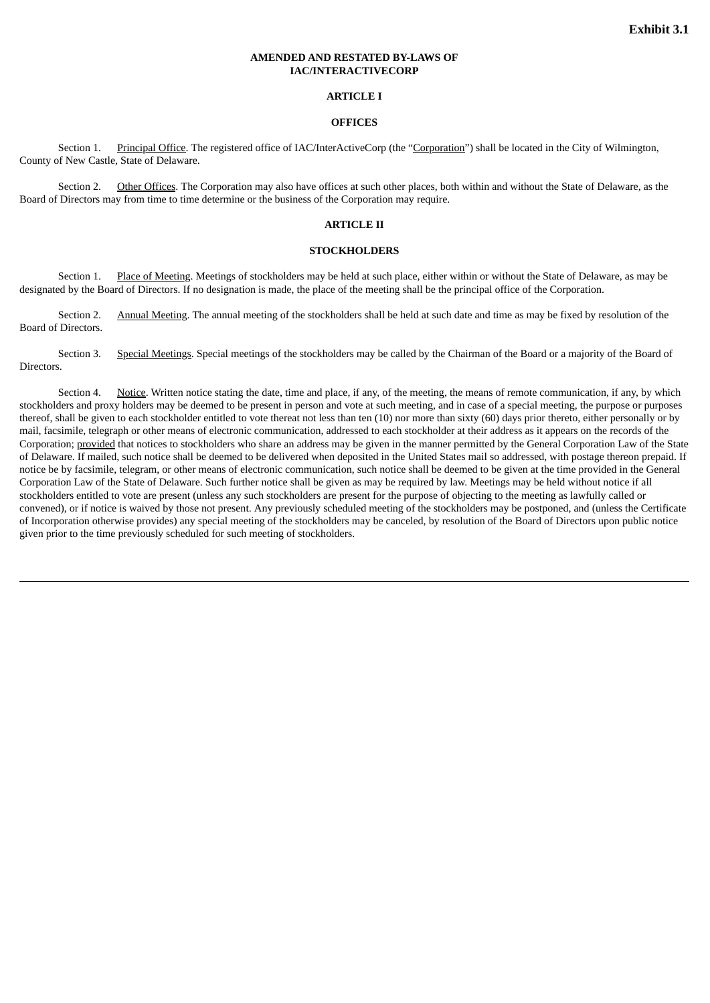### **AMENDED AND RESTATED BY-LAWS OF IAC/INTERACTIVECORP**

#### **ARTICLE I**

#### **OFFICES**

<span id="page-3-0"></span>Section 1. Principal Office. The registered office of IAC/InterActiveCorp (the "Corporation") shall be located in the City of Wilmington, County of New Castle, State of Delaware.

Section 2. Other Offices. The Corporation may also have offices at such other places, both within and without the State of Delaware, as the Board of Directors may from time to time determine or the business of the Corporation may require.

#### **ARTICLE II**

#### **STOCKHOLDERS**

Section 1. Place of Meeting. Meetings of stockholders may be held at such place, either within or without the State of Delaware, as may be designated by the Board of Directors. If no designation is made, the place of the meeting shall be the principal office of the Corporation.

Section 2. Annual Meeting. The annual meeting of the stockholders shall be held at such date and time as may be fixed by resolution of the Board of Directors.

Section 3. Special Meetings. Special meetings of the stockholders may be called by the Chairman of the Board or a majority of the Board of **Directors** 

Section 4. Notice. Written notice stating the date, time and place, if any, of the meeting, the means of remote communication, if any, by which stockholders and proxy holders may be deemed to be present in person and vote at such meeting, and in case of a special meeting, the purpose or purposes thereof, shall be given to each stockholder entitled to vote thereat not less than ten (10) nor more than sixty (60) days prior thereto, either personally or by mail, facsimile, telegraph or other means of electronic communication, addressed to each stockholder at their address as it appears on the records of the Corporation; provided that notices to stockholders who share an address may be given in the manner permitted by the General Corporation Law of the State of Delaware. If mailed, such notice shall be deemed to be delivered when deposited in the United States mail so addressed, with postage thereon prepaid. If notice be by facsimile, telegram, or other means of electronic communication, such notice shall be deemed to be given at the time provided in the General Corporation Law of the State of Delaware. Such further notice shall be given as may be required by law. Meetings may be held without notice if all stockholders entitled to vote are present (unless any such stockholders are present for the purpose of objecting to the meeting as lawfully called or convened), or if notice is waived by those not present. Any previously scheduled meeting of the stockholders may be postponed, and (unless the Certificate of Incorporation otherwise provides) any special meeting of the stockholders may be canceled, by resolution of the Board of Directors upon public notice given prior to the time previously scheduled for such meeting of stockholders.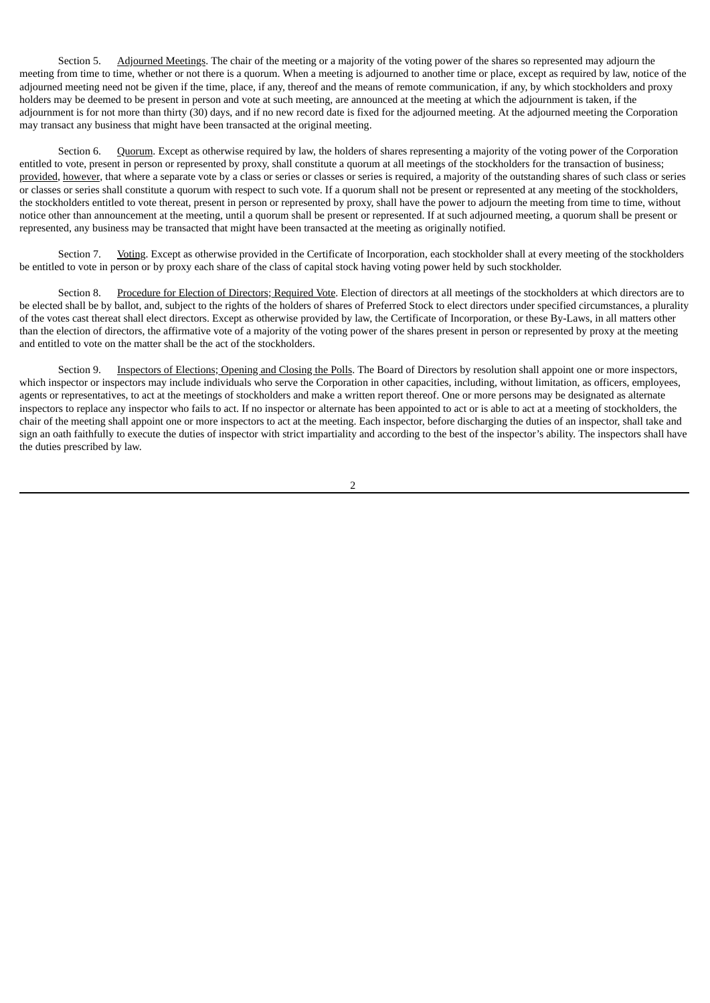Section 5. Adjourned Meetings. The chair of the meeting or a majority of the voting power of the shares so represented may adjourn the meeting from time to time, whether or not there is a quorum. When a meeting is adjourned to another time or place, except as required by law, notice of the adjourned meeting need not be given if the time, place, if any, thereof and the means of remote communication, if any, by which stockholders and proxy holders may be deemed to be present in person and vote at such meeting, are announced at the meeting at which the adjournment is taken, if the adjournment is for not more than thirty (30) days, and if no new record date is fixed for the adjourned meeting. At the adjourned meeting the Corporation may transact any business that might have been transacted at the original meeting.

Section 6. Quorum. Except as otherwise required by law, the holders of shares representing a majority of the voting power of the Corporation entitled to vote, present in person or represented by proxy, shall constitute a quorum at all meetings of the stockholders for the transaction of business; provided, however, that where a separate vote by a class or series or classes or series is required, a majority of the outstanding shares of such class or series or classes or series shall constitute a quorum with respect to such vote. If a quorum shall not be present or represented at any meeting of the stockholders, the stockholders entitled to vote thereat, present in person or represented by proxy, shall have the power to adjourn the meeting from time to time, without notice other than announcement at the meeting, until a quorum shall be present or represented. If at such adjourned meeting, a quorum shall be present or represented, any business may be transacted that might have been transacted at the meeting as originally notified.

Section 7. Voting. Except as otherwise provided in the Certificate of Incorporation, each stockholder shall at every meeting of the stockholders be entitled to vote in person or by proxy each share of the class of capital stock having voting power held by such stockholder.

Section 8. Procedure for Election of Directors; Required Vote. Election of directors at all meetings of the stockholders at which directors are to be elected shall be by ballot, and, subject to the rights of the holders of shares of Preferred Stock to elect directors under specified circumstances, a plurality of the votes cast thereat shall elect directors. Except as otherwise provided by law, the Certificate of Incorporation, or these By-Laws, in all matters other than the election of directors, the affirmative vote of a majority of the voting power of the shares present in person or represented by proxy at the meeting and entitled to vote on the matter shall be the act of the stockholders.

Section 9. Inspectors of Elections; Opening and Closing the Polls. The Board of Directors by resolution shall appoint one or more inspectors, which inspector or inspectors may include individuals who serve the Corporation in other capacities, including, without limitation, as officers, employees, agents or representatives, to act at the meetings of stockholders and make a written report thereof. One or more persons may be designated as alternate inspectors to replace any inspector who fails to act. If no inspector or alternate has been appointed to act or is able to act at a meeting of stockholders, the chair of the meeting shall appoint one or more inspectors to act at the meeting. Each inspector, before discharging the duties of an inspector, shall take and sign an oath faithfully to execute the duties of inspector with strict impartiality and according to the best of the inspector's ability. The inspectors shall have the duties prescribed by law.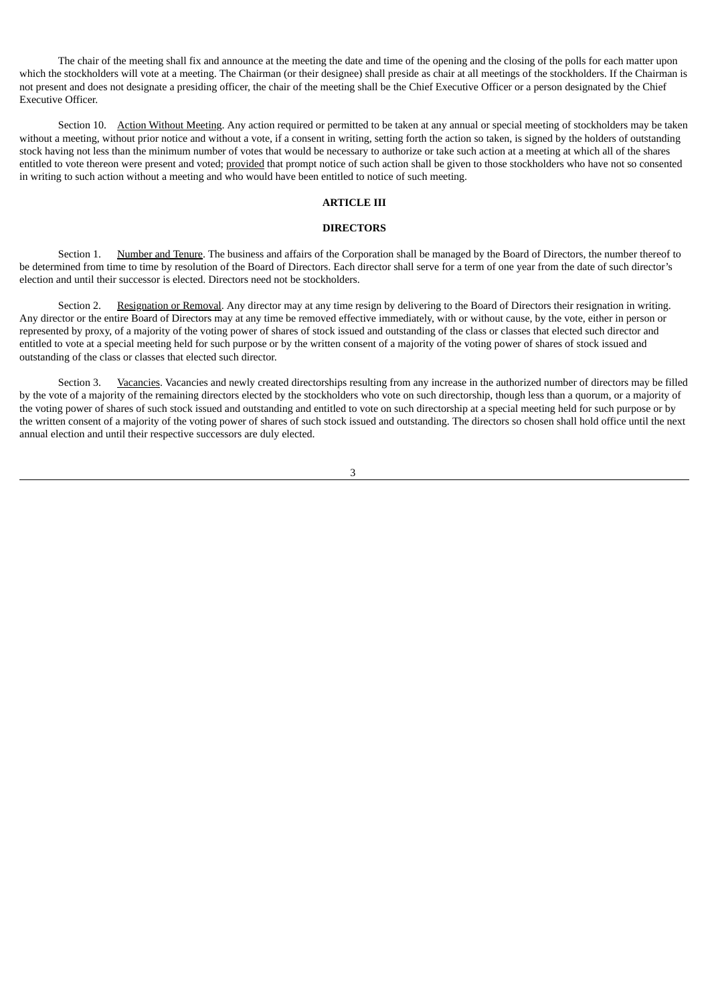The chair of the meeting shall fix and announce at the meeting the date and time of the opening and the closing of the polls for each matter upon which the stockholders will vote at a meeting. The Chairman (or their designee) shall preside as chair at all meetings of the stockholders. If the Chairman is not present and does not designate a presiding officer, the chair of the meeting shall be the Chief Executive Officer or a person designated by the Chief Executive Officer.

Section 10. Action Without Meeting. Any action required or permitted to be taken at any annual or special meeting of stockholders may be taken without a meeting, without prior notice and without a vote, if a consent in writing, setting forth the action so taken, is signed by the holders of outstanding stock having not less than the minimum number of votes that would be necessary to authorize or take such action at a meeting at which all of the shares entitled to vote thereon were present and voted; provided that prompt notice of such action shall be given to those stockholders who have not so consented in writing to such action without a meeting and who would have been entitled to notice of such meeting.

# **ARTICLE III**

# **DIRECTORS**

Section 1. Number and Tenure. The business and affairs of the Corporation shall be managed by the Board of Directors, the number thereof to be determined from time to time by resolution of the Board of Directors. Each director shall serve for a term of one year from the date of such director's election and until their successor is elected. Directors need not be stockholders.

Section 2. Resignation or Removal. Any director may at any time resign by delivering to the Board of Directors their resignation in writing. Any director or the entire Board of Directors may at any time be removed effective immediately, with or without cause, by the vote, either in person or represented by proxy, of a majority of the voting power of shares of stock issued and outstanding of the class or classes that elected such director and entitled to vote at a special meeting held for such purpose or by the written consent of a majority of the voting power of shares of stock issued and outstanding of the class or classes that elected such director.

Section 3. Vacancies. Vacancies and newly created directorships resulting from any increase in the authorized number of directors may be filled by the vote of a majority of the remaining directors elected by the stockholders who vote on such directorship, though less than a quorum, or a majority of the voting power of shares of such stock issued and outstanding and entitled to vote on such directorship at a special meeting held for such purpose or by the written consent of a majority of the voting power of shares of such stock issued and outstanding. The directors so chosen shall hold office until the next annual election and until their respective successors are duly elected.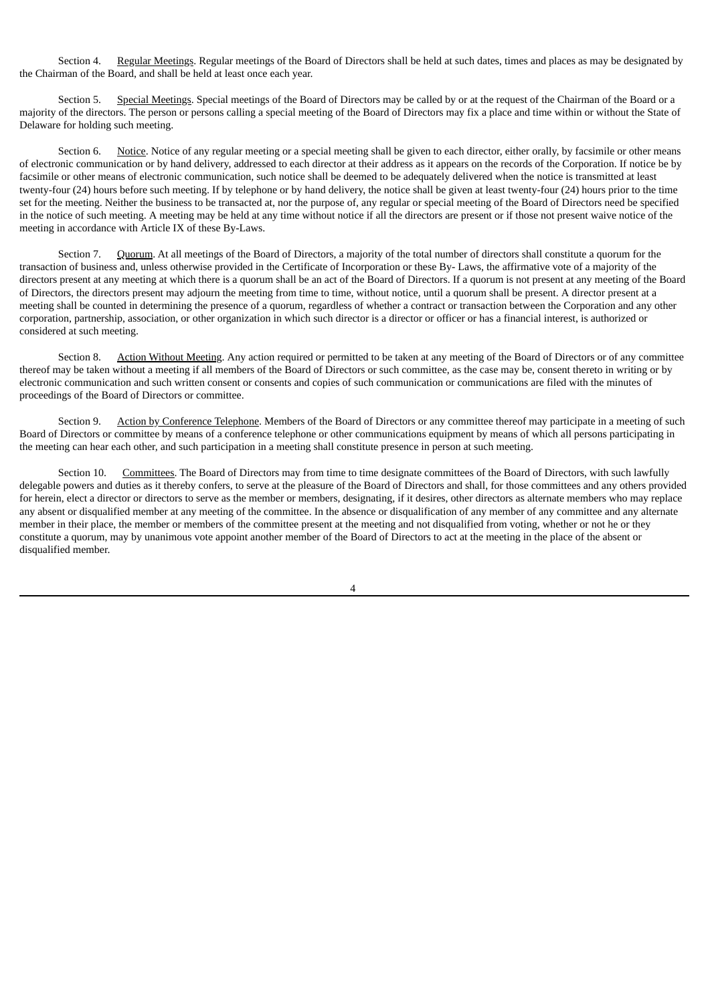Section 4. Regular Meetings. Regular meetings of the Board of Directors shall be held at such dates, times and places as may be designated by the Chairman of the Board, and shall be held at least once each year.

Section 5. Special Meetings. Special meetings of the Board of Directors may be called by or at the request of the Chairman of the Board or a majority of the directors. The person or persons calling a special meeting of the Board of Directors may fix a place and time within or without the State of Delaware for holding such meeting.

Section 6. Notice. Notice of any regular meeting or a special meeting shall be given to each director, either orally, by facsimile or other means of electronic communication or by hand delivery, addressed to each director at their address as it appears on the records of the Corporation. If notice be by facsimile or other means of electronic communication, such notice shall be deemed to be adequately delivered when the notice is transmitted at least twenty-four (24) hours before such meeting. If by telephone or by hand delivery, the notice shall be given at least twenty-four (24) hours prior to the time set for the meeting. Neither the business to be transacted at, nor the purpose of, any regular or special meeting of the Board of Directors need be specified in the notice of such meeting. A meeting may be held at any time without notice if all the directors are present or if those not present waive notice of the meeting in accordance with Article IX of these By-Laws.

Section 7. Quorum. At all meetings of the Board of Directors, a majority of the total number of directors shall constitute a quorum for the transaction of business and, unless otherwise provided in the Certificate of Incorporation or these By- Laws, the affirmative vote of a majority of the directors present at any meeting at which there is a quorum shall be an act of the Board of Directors. If a quorum is not present at any meeting of the Board of Directors, the directors present may adjourn the meeting from time to time, without notice, until a quorum shall be present. A director present at a meeting shall be counted in determining the presence of a quorum, regardless of whether a contract or transaction between the Corporation and any other corporation, partnership, association, or other organization in which such director is a director or officer or has a financial interest, is authorized or considered at such meeting.

Section 8. Action Without Meeting. Any action required or permitted to be taken at any meeting of the Board of Directors or of any committee thereof may be taken without a meeting if all members of the Board of Directors or such committee, as the case may be, consent thereto in writing or by electronic communication and such written consent or consents and copies of such communication or communications are filed with the minutes of proceedings of the Board of Directors or committee.

Section 9. Action by Conference Telephone. Members of the Board of Directors or any committee thereof may participate in a meeting of such Board of Directors or committee by means of a conference telephone or other communications equipment by means of which all persons participating in the meeting can hear each other, and such participation in a meeting shall constitute presence in person at such meeting.

Section 10. Committees. The Board of Directors may from time to time designate committees of the Board of Directors, with such lawfully delegable powers and duties as it thereby confers, to serve at the pleasure of the Board of Directors and shall, for those committees and any others provided for herein, elect a director or directors to serve as the member or members, designating, if it desires, other directors as alternate members who may replace any absent or disqualified member at any meeting of the committee. In the absence or disqualification of any member of any committee and any alternate member in their place, the member or members of the committee present at the meeting and not disqualified from voting, whether or not he or they constitute a quorum, may by unanimous vote appoint another member of the Board of Directors to act at the meeting in the place of the absent or disqualified member.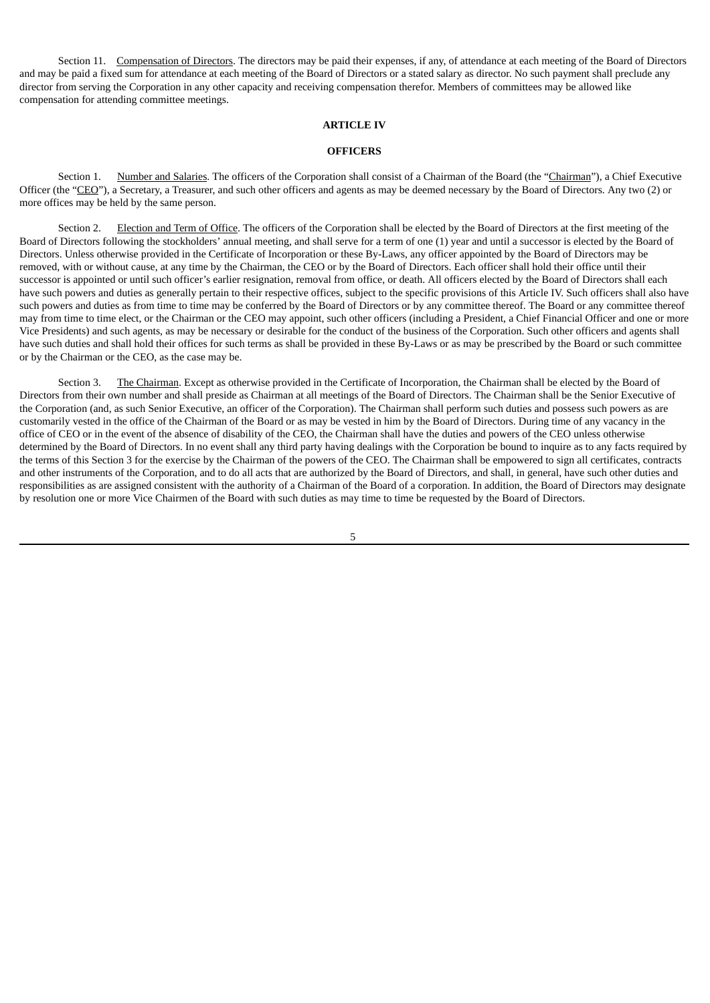Section 11. Compensation of Directors. The directors may be paid their expenses, if any, of attendance at each meeting of the Board of Directors and may be paid a fixed sum for attendance at each meeting of the Board of Directors or a stated salary as director. No such payment shall preclude any director from serving the Corporation in any other capacity and receiving compensation therefor. Members of committees may be allowed like compensation for attending committee meetings.

# **ARTICLE IV**

# **OFFICERS**

Section 1. Number and Salaries. The officers of the Corporation shall consist of a Chairman of the Board (the "Chairman"), a Chief Executive Officer (the "CEO"), a Secretary, a Treasurer, and such other officers and agents as may be deemed necessary by the Board of Directors. Any two (2) or more offices may be held by the same person.

Section 2. Election and Term of Office. The officers of the Corporation shall be elected by the Board of Directors at the first meeting of the Board of Directors following the stockholders' annual meeting, and shall serve for a term of one (1) year and until a successor is elected by the Board of Directors. Unless otherwise provided in the Certificate of Incorporation or these By-Laws, any officer appointed by the Board of Directors may be removed, with or without cause, at any time by the Chairman, the CEO or by the Board of Directors. Each officer shall hold their office until their successor is appointed or until such officer's earlier resignation, removal from office, or death. All officers elected by the Board of Directors shall each have such powers and duties as generally pertain to their respective offices, subject to the specific provisions of this Article IV. Such officers shall also have such powers and duties as from time to time may be conferred by the Board of Directors or by any committee thereof. The Board or any committee thereof may from time to time elect, or the Chairman or the CEO may appoint, such other officers (including a President, a Chief Financial Officer and one or more Vice Presidents) and such agents, as may be necessary or desirable for the conduct of the business of the Corporation. Such other officers and agents shall have such duties and shall hold their offices for such terms as shall be provided in these By-Laws or as may be prescribed by the Board or such committee or by the Chairman or the CEO, as the case may be.

Section 3. The Chairman. Except as otherwise provided in the Certificate of Incorporation, the Chairman shall be elected by the Board of Directors from their own number and shall preside as Chairman at all meetings of the Board of Directors. The Chairman shall be the Senior Executive of the Corporation (and, as such Senior Executive, an officer of the Corporation). The Chairman shall perform such duties and possess such powers as are customarily vested in the office of the Chairman of the Board or as may be vested in him by the Board of Directors. During time of any vacancy in the office of CEO or in the event of the absence of disability of the CEO, the Chairman shall have the duties and powers of the CEO unless otherwise determined by the Board of Directors. In no event shall any third party having dealings with the Corporation be bound to inquire as to any facts required by the terms of this Section 3 for the exercise by the Chairman of the powers of the CEO. The Chairman shall be empowered to sign all certificates, contracts and other instruments of the Corporation, and to do all acts that are authorized by the Board of Directors, and shall, in general, have such other duties and responsibilities as are assigned consistent with the authority of a Chairman of the Board of a corporation. In addition, the Board of Directors may designate by resolution one or more Vice Chairmen of the Board with such duties as may time to time be requested by the Board of Directors.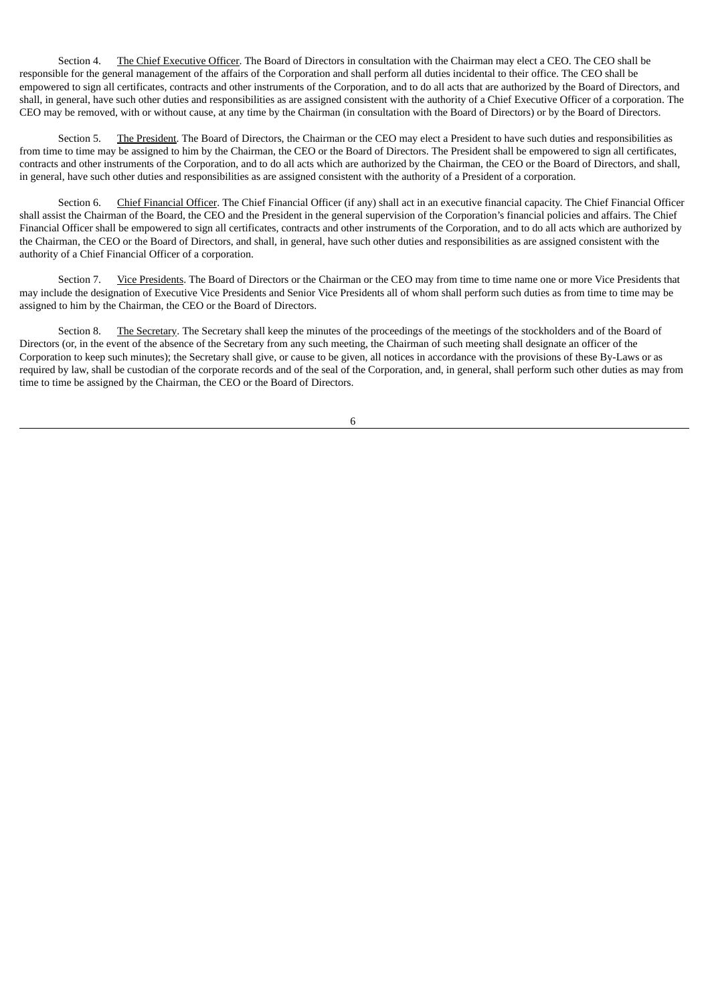Section 4. The Chief Executive Officer. The Board of Directors in consultation with the Chairman may elect a CEO. The CEO shall be responsible for the general management of the affairs of the Corporation and shall perform all duties incidental to their office. The CEO shall be empowered to sign all certificates, contracts and other instruments of the Corporation, and to do all acts that are authorized by the Board of Directors, and shall, in general, have such other duties and responsibilities as are assigned consistent with the authority of a Chief Executive Officer of a corporation. The CEO may be removed, with or without cause, at any time by the Chairman (in consultation with the Board of Directors) or by the Board of Directors.

Section 5. The President. The Board of Directors, the Chairman or the CEO may elect a President to have such duties and responsibilities as from time to time may be assigned to him by the Chairman, the CEO or the Board of Directors. The President shall be empowered to sign all certificates, contracts and other instruments of the Corporation, and to do all acts which are authorized by the Chairman, the CEO or the Board of Directors, and shall, in general, have such other duties and responsibilities as are assigned consistent with the authority of a President of a corporation.

Section 6. Chief Financial Officer. The Chief Financial Officer (if any) shall act in an executive financial capacity. The Chief Financial Officer shall assist the Chairman of the Board, the CEO and the President in the general supervision of the Corporation's financial policies and affairs. The Chief Financial Officer shall be empowered to sign all certificates, contracts and other instruments of the Corporation, and to do all acts which are authorized by the Chairman, the CEO or the Board of Directors, and shall, in general, have such other duties and responsibilities as are assigned consistent with the authority of a Chief Financial Officer of a corporation.

Section 7. Vice Presidents. The Board of Directors or the Chairman or the CEO may from time to time name one or more Vice Presidents that may include the designation of Executive Vice Presidents and Senior Vice Presidents all of whom shall perform such duties as from time to time may be assigned to him by the Chairman, the CEO or the Board of Directors.

Section 8. The Secretary. The Secretary shall keep the minutes of the proceedings of the meetings of the stockholders and of the Board of Directors (or, in the event of the absence of the Secretary from any such meeting, the Chairman of such meeting shall designate an officer of the Corporation to keep such minutes); the Secretary shall give, or cause to be given, all notices in accordance with the provisions of these By-Laws or as required by law, shall be custodian of the corporate records and of the seal of the Corporation, and, in general, shall perform such other duties as may from time to time be assigned by the Chairman, the CEO or the Board of Directors.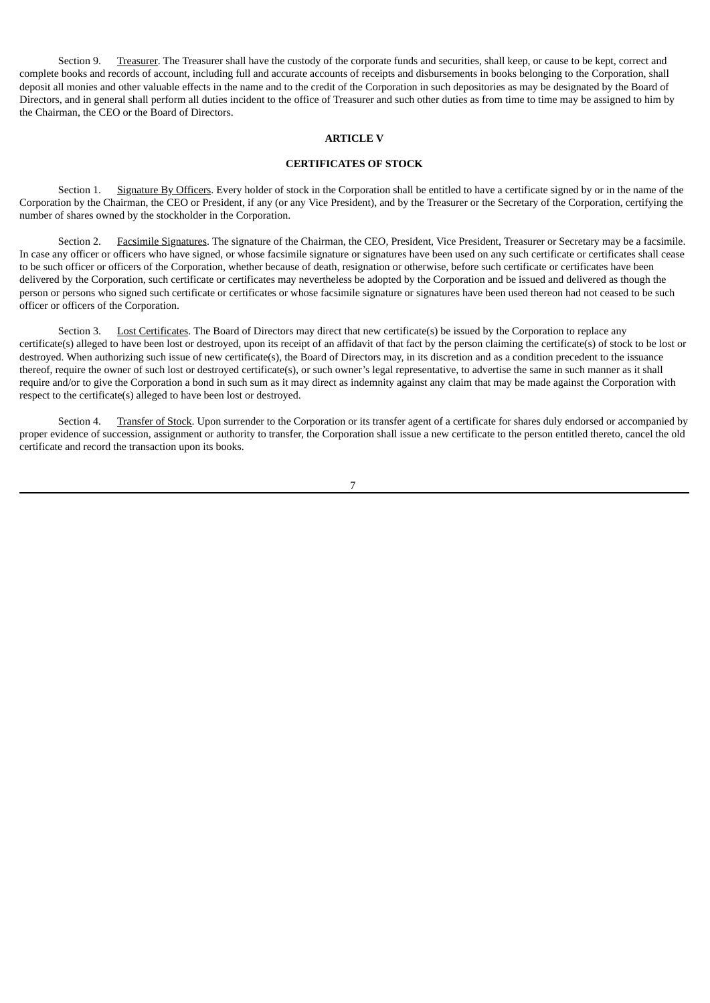Section 9. Treasurer. The Treasurer shall have the custody of the corporate funds and securities, shall keep, or cause to be kept, correct and complete books and records of account, including full and accurate accounts of receipts and disbursements in books belonging to the Corporation, shall deposit all monies and other valuable effects in the name and to the credit of the Corporation in such depositories as may be designated by the Board of Directors, and in general shall perform all duties incident to the office of Treasurer and such other duties as from time to time may be assigned to him by the Chairman, the CEO or the Board of Directors.

# **ARTICLE V**

# **CERTIFICATES OF STOCK**

Section 1. Signature By Officers. Every holder of stock in the Corporation shall be entitled to have a certificate signed by or in the name of the Corporation by the Chairman, the CEO or President, if any (or any Vice President), and by the Treasurer or the Secretary of the Corporation, certifying the number of shares owned by the stockholder in the Corporation.

Section 2. Facsimile Signatures. The signature of the Chairman, the CEO, President, Vice President, Treasurer or Secretary may be a facsimile. In case any officer or officers who have signed, or whose facsimile signature or signatures have been used on any such certificate or certificates shall cease to be such officer or officers of the Corporation, whether because of death, resignation or otherwise, before such certificate or certificates have been delivered by the Corporation, such certificate or certificates may nevertheless be adopted by the Corporation and be issued and delivered as though the person or persons who signed such certificate or certificates or whose facsimile signature or signatures have been used thereon had not ceased to be such officer or officers of the Corporation.

Section 3. Lost Certificates. The Board of Directors may direct that new certificate(s) be issued by the Corporation to replace any certificate(s) alleged to have been lost or destroyed, upon its receipt of an affidavit of that fact by the person claiming the certificate(s) of stock to be lost or destroyed. When authorizing such issue of new certificate(s), the Board of Directors may, in its discretion and as a condition precedent to the issuance thereof, require the owner of such lost or destroyed certificate(s), or such owner's legal representative, to advertise the same in such manner as it shall require and/or to give the Corporation a bond in such sum as it may direct as indemnity against any claim that may be made against the Corporation with respect to the certificate(s) alleged to have been lost or destroyed.

Section 4. Transfer of Stock. Upon surrender to the Corporation or its transfer agent of a certificate for shares duly endorsed or accompanied by proper evidence of succession, assignment or authority to transfer, the Corporation shall issue a new certificate to the person entitled thereto, cancel the old certificate and record the transaction upon its books.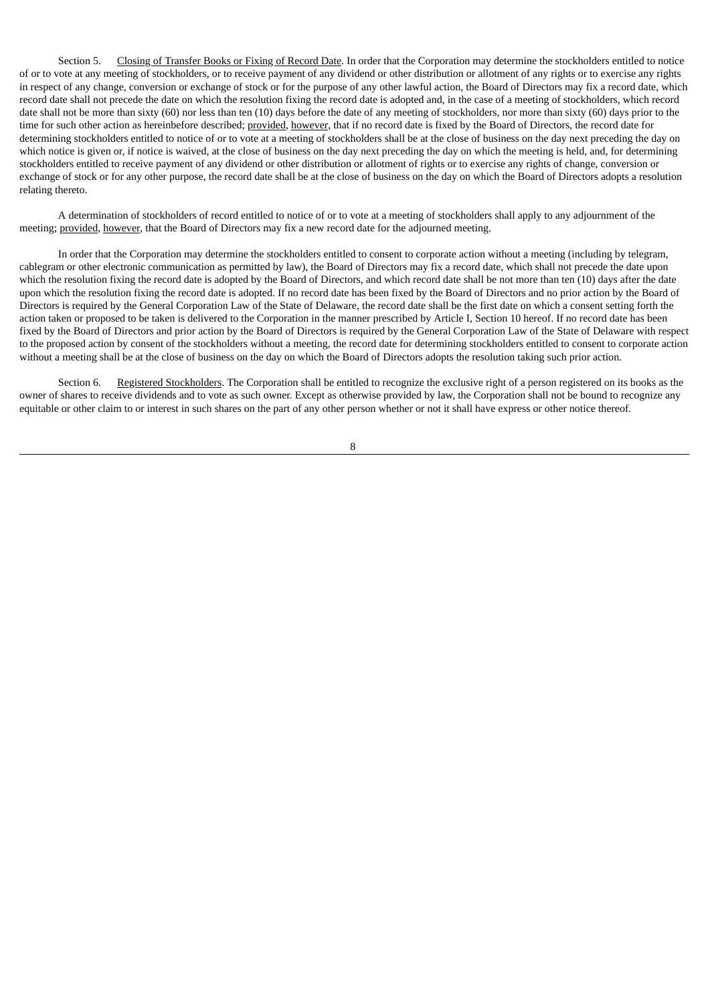Section 5. Closing of Transfer Books or Fixing of Record Date. In order that the Corporation may determine the stockholders entitled to notice of or to vote at any meeting of stockholders, or to receive payment of any dividend or other distribution or allotment of any rights or to exercise any rights in respect of any change, conversion or exchange of stock or for the purpose of any other lawful action, the Board of Directors may fix a record date, which record date shall not precede the date on which the resolution fixing the record date is adopted and, in the case of a meeting of stockholders, which record date shall not be more than sixty (60) nor less than ten (10) days before the date of any meeting of stockholders, nor more than sixty (60) days prior to the time for such other action as hereinbefore described; provided, however, that if no record date is fixed by the Board of Directors, the record date for determining stockholders entitled to notice of or to vote at a meeting of stockholders shall be at the close of business on the day next preceding the day on which notice is given or, if notice is waived, at the close of business on the day next preceding the day on which the meeting is held, and, for determining stockholders entitled to receive payment of any dividend or other distribution or allotment of rights or to exercise any rights of change, conversion or exchange of stock or for any other purpose, the record date shall be at the close of business on the day on which the Board of Directors adopts a resolution relating thereto.

A determination of stockholders of record entitled to notice of or to vote at a meeting of stockholders shall apply to any adjournment of the meeting; provided, however, that the Board of Directors may fix a new record date for the adjourned meeting.

In order that the Corporation may determine the stockholders entitled to consent to corporate action without a meeting (including by telegram, cablegram or other electronic communication as permitted by law), the Board of Directors may fix a record date, which shall not precede the date upon which the resolution fixing the record date is adopted by the Board of Directors, and which record date shall be not more than ten (10) days after the date upon which the resolution fixing the record date is adopted. If no record date has been fixed by the Board of Directors and no prior action by the Board of Directors is required by the General Corporation Law of the State of Delaware, the record date shall be the first date on which a consent setting forth the action taken or proposed to be taken is delivered to the Corporation in the manner prescribed by Article I, Section 10 hereof. If no record date has been fixed by the Board of Directors and prior action by the Board of Directors is required by the General Corporation Law of the State of Delaware with respect to the proposed action by consent of the stockholders without a meeting, the record date for determining stockholders entitled to consent to corporate action without a meeting shall be at the close of business on the day on which the Board of Directors adopts the resolution taking such prior action.

Section 6. Registered Stockholders. The Corporation shall be entitled to recognize the exclusive right of a person registered on its books as the owner of shares to receive dividends and to vote as such owner. Except as otherwise provided by law, the Corporation shall not be bound to recognize any equitable or other claim to or interest in such shares on the part of any other person whether or not it shall have express or other notice thereof.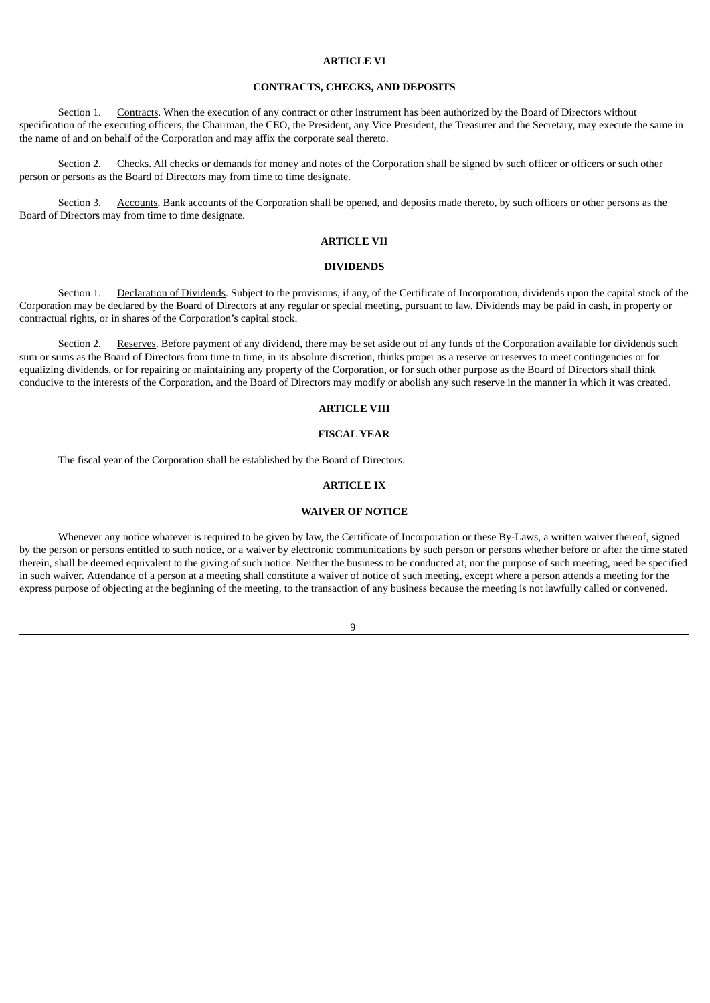### **ARTICLE VI**

### **CONTRACTS, CHECKS, AND DEPOSITS**

Section 1. Contracts. When the execution of any contract or other instrument has been authorized by the Board of Directors without specification of the executing officers, the Chairman, the CEO, the President, any Vice President, the Treasurer and the Secretary, may execute the same in the name of and on behalf of the Corporation and may affix the corporate seal thereto.

Section 2. Checks. All checks or demands for money and notes of the Corporation shall be signed by such officer or officers or such other person or persons as the Board of Directors may from time to time designate.

Section 3. Accounts. Bank accounts of the Corporation shall be opened, and deposits made thereto, by such officers or other persons as the Board of Directors may from time to time designate.

## **ARTICLE VII**

#### **DIVIDENDS**

Section 1. Declaration of Dividends. Subject to the provisions, if any, of the Certificate of Incorporation, dividends upon the capital stock of the Corporation may be declared by the Board of Directors at any regular or special meeting, pursuant to law. Dividends may be paid in cash, in property or contractual rights, or in shares of the Corporation's capital stock.

Section 2. Reserves. Before payment of any dividend, there may be set aside out of any funds of the Corporation available for dividends such sum or sums as the Board of Directors from time to time, in its absolute discretion, thinks proper as a reserve or reserves to meet contingencies or for equalizing dividends, or for repairing or maintaining any property of the Corporation, or for such other purpose as the Board of Directors shall think conducive to the interests of the Corporation, and the Board of Directors may modify or abolish any such reserve in the manner in which it was created.

#### **ARTICLE VIII**

#### **FISCAL YEAR**

The fiscal year of the Corporation shall be established by the Board of Directors.

#### **ARTICLE IX**

#### **WAIVER OF NOTICE**

Whenever any notice whatever is required to be given by law, the Certificate of Incorporation or these By-Laws, a written waiver thereof, signed by the person or persons entitled to such notice, or a waiver by electronic communications by such person or persons whether before or after the time stated therein, shall be deemed equivalent to the giving of such notice. Neither the business to be conducted at, nor the purpose of such meeting, need be specified in such waiver. Attendance of a person at a meeting shall constitute a waiver of notice of such meeting, except where a person attends a meeting for the express purpose of objecting at the beginning of the meeting, to the transaction of any business because the meeting is not lawfully called or convened.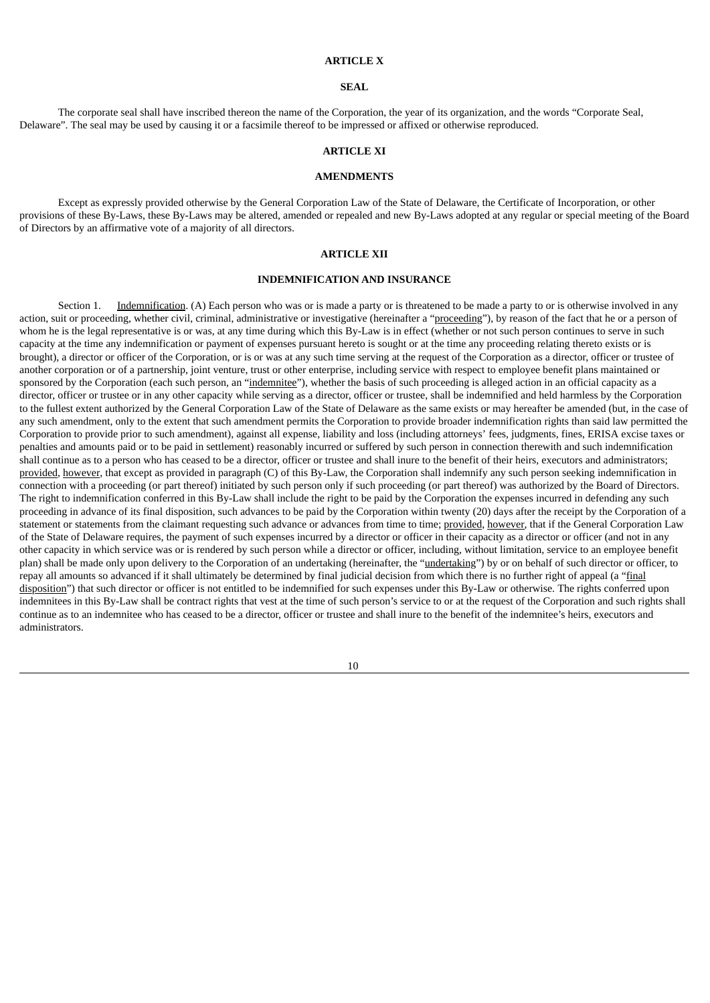### **ARTICLE X**

#### **SEAL**

The corporate seal shall have inscribed thereon the name of the Corporation, the year of its organization, and the words "Corporate Seal, Delaware". The seal may be used by causing it or a facsimile thereof to be impressed or affixed or otherwise reproduced.

# **ARTICLE XI**

#### **AMENDMENTS**

Except as expressly provided otherwise by the General Corporation Law of the State of Delaware, the Certificate of Incorporation, or other provisions of these By-Laws, these By-Laws may be altered, amended or repealed and new By-Laws adopted at any regular or special meeting of the Board of Directors by an affirmative vote of a majority of all directors.

#### **ARTICLE XII**

# **INDEMNIFICATION AND INSURANCE**

Section 1. Indemnification. (A) Each person who was or is made a party or is threatened to be made a party to or is otherwise involved in any action, suit or proceeding, whether civil, criminal, administrative or investigative (hereinafter a "proceeding"), by reason of the fact that he or a person of whom he is the legal representative is or was, at any time during which this By-Law is in effect (whether or not such person continues to serve in such capacity at the time any indemnification or payment of expenses pursuant hereto is sought or at the time any proceeding relating thereto exists or is brought), a director or officer of the Corporation, or is or was at any such time serving at the request of the Corporation as a director, officer or trustee of another corporation or of a partnership, joint venture, trust or other enterprise, including service with respect to employee benefit plans maintained or sponsored by the Corporation (each such person, an "indemnitee"), whether the basis of such proceeding is alleged action in an official capacity as a director, officer or trustee or in any other capacity while serving as a director, officer or trustee, shall be indemnified and held harmless by the Corporation to the fullest extent authorized by the General Corporation Law of the State of Delaware as the same exists or may hereafter be amended (but, in the case of any such amendment, only to the extent that such amendment permits the Corporation to provide broader indemnification rights than said law permitted the Corporation to provide prior to such amendment), against all expense, liability and loss (including attorneys' fees, judgments, fines, ERISA excise taxes or penalties and amounts paid or to be paid in settlement) reasonably incurred or suffered by such person in connection therewith and such indemnification shall continue as to a person who has ceased to be a director, officer or trustee and shall inure to the benefit of their heirs, executors and administrators; provided, however, that except as provided in paragraph (C) of this By-Law, the Corporation shall indemnify any such person seeking indemnification in connection with a proceeding (or part thereof) initiated by such person only if such proceeding (or part thereof) was authorized by the Board of Directors. The right to indemnification conferred in this By-Law shall include the right to be paid by the Corporation the expenses incurred in defending any such proceeding in advance of its final disposition, such advances to be paid by the Corporation within twenty (20) days after the receipt by the Corporation of a statement or statements from the claimant requesting such advance or advances from time to time; provided, however, that if the General Corporation Law of the State of Delaware requires, the payment of such expenses incurred by a director or officer in their capacity as a director or officer (and not in any other capacity in which service was or is rendered by such person while a director or officer, including, without limitation, service to an employee benefit plan) shall be made only upon delivery to the Corporation of an undertaking (hereinafter, the "undertaking") by or on behalf of such director or officer, to repay all amounts so advanced if it shall ultimately be determined by final judicial decision from which there is no further right of appeal (a "final disposition") that such director or officer is not entitled to be indemnified for such expenses under this By-Law or otherwise. The rights conferred upon indemnitees in this By-Law shall be contract rights that vest at the time of such person's service to or at the request of the Corporation and such rights shall continue as to an indemnitee who has ceased to be a director, officer or trustee and shall inure to the benefit of the indemnitee's heirs, executors and administrators.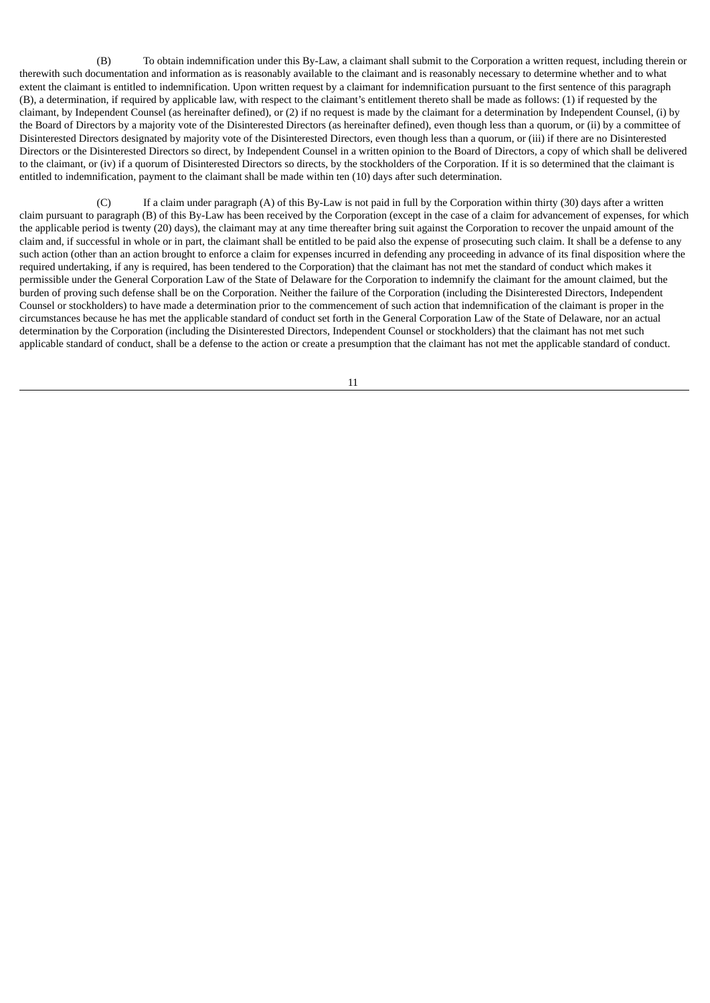(B) To obtain indemnification under this By-Law, a claimant shall submit to the Corporation a written request, including therein or therewith such documentation and information as is reasonably available to the claimant and is reasonably necessary to determine whether and to what extent the claimant is entitled to indemnification. Upon written request by a claimant for indemnification pursuant to the first sentence of this paragraph (B), a determination, if required by applicable law, with respect to the claimant's entitlement thereto shall be made as follows: (1) if requested by the claimant, by Independent Counsel (as hereinafter defined), or (2) if no request is made by the claimant for a determination by Independent Counsel, (i) by the Board of Directors by a majority vote of the Disinterested Directors (as hereinafter defined), even though less than a quorum, or (ii) by a committee of Disinterested Directors designated by majority vote of the Disinterested Directors, even though less than a quorum, or (iii) if there are no Disinterested Directors or the Disinterested Directors so direct, by Independent Counsel in a written opinion to the Board of Directors, a copy of which shall be delivered to the claimant, or (iv) if a quorum of Disinterested Directors so directs, by the stockholders of the Corporation. If it is so determined that the claimant is entitled to indemnification, payment to the claimant shall be made within ten (10) days after such determination.

(C) If a claim under paragraph (A) of this By-Law is not paid in full by the Corporation within thirty (30) days after a written claim pursuant to paragraph (B) of this By-Law has been received by the Corporation (except in the case of a claim for advancement of expenses, for which the applicable period is twenty (20) days), the claimant may at any time thereafter bring suit against the Corporation to recover the unpaid amount of the claim and, if successful in whole or in part, the claimant shall be entitled to be paid also the expense of prosecuting such claim. It shall be a defense to any such action (other than an action brought to enforce a claim for expenses incurred in defending any proceeding in advance of its final disposition where the required undertaking, if any is required, has been tendered to the Corporation) that the claimant has not met the standard of conduct which makes it permissible under the General Corporation Law of the State of Delaware for the Corporation to indemnify the claimant for the amount claimed, but the burden of proving such defense shall be on the Corporation. Neither the failure of the Corporation (including the Disinterested Directors, Independent Counsel or stockholders) to have made a determination prior to the commencement of such action that indemnification of the claimant is proper in the circumstances because he has met the applicable standard of conduct set forth in the General Corporation Law of the State of Delaware, nor an actual determination by the Corporation (including the Disinterested Directors, Independent Counsel or stockholders) that the claimant has not met such applicable standard of conduct, shall be a defense to the action or create a presumption that the claimant has not met the applicable standard of conduct.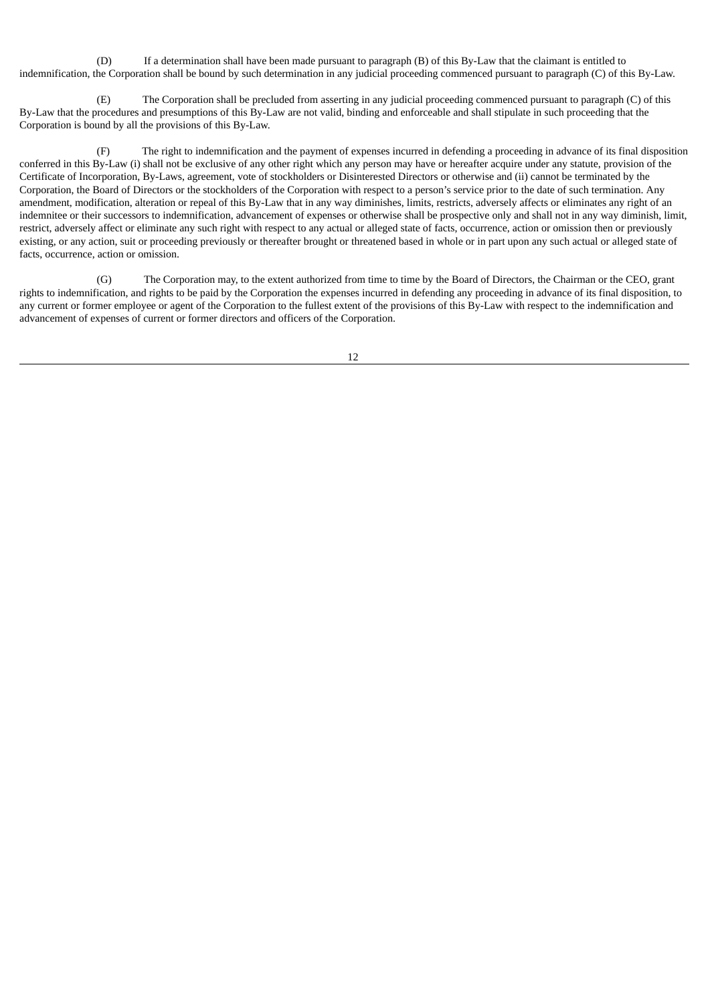(D) If a determination shall have been made pursuant to paragraph (B) of this By-Law that the claimant is entitled to indemnification, the Corporation shall be bound by such determination in any judicial proceeding commenced pursuant to paragraph (C) of this By-Law.

(E) The Corporation shall be precluded from asserting in any judicial proceeding commenced pursuant to paragraph (C) of this By-Law that the procedures and presumptions of this By-Law are not valid, binding and enforceable and shall stipulate in such proceeding that the Corporation is bound by all the provisions of this By-Law.

(F) The right to indemnification and the payment of expenses incurred in defending a proceeding in advance of its final disposition conferred in this By-Law (i) shall not be exclusive of any other right which any person may have or hereafter acquire under any statute, provision of the Certificate of Incorporation, By-Laws, agreement, vote of stockholders or Disinterested Directors or otherwise and (ii) cannot be terminated by the Corporation, the Board of Directors or the stockholders of the Corporation with respect to a person's service prior to the date of such termination. Any amendment, modification, alteration or repeal of this By-Law that in any way diminishes, limits, restricts, adversely affects or eliminates any right of an indemnitee or their successors to indemnification, advancement of expenses or otherwise shall be prospective only and shall not in any way diminish, limit, restrict, adversely affect or eliminate any such right with respect to any actual or alleged state of facts, occurrence, action or omission then or previously existing, or any action, suit or proceeding previously or thereafter brought or threatened based in whole or in part upon any such actual or alleged state of facts, occurrence, action or omission.

(G) The Corporation may, to the extent authorized from time to time by the Board of Directors, the Chairman or the CEO, grant rights to indemnification, and rights to be paid by the Corporation the expenses incurred in defending any proceeding in advance of its final disposition, to any current or former employee or agent of the Corporation to the fullest extent of the provisions of this By-Law with respect to the indemnification and advancement of expenses of current or former directors and officers of the Corporation.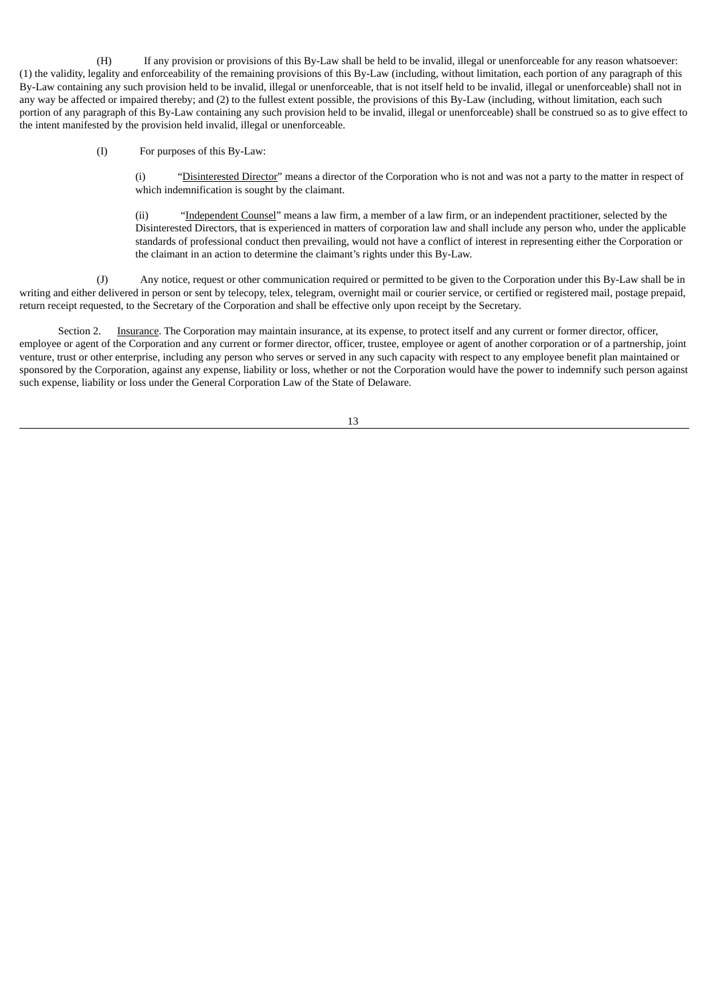(H) If any provision or provisions of this By-Law shall be held to be invalid, illegal or unenforceable for any reason whatsoever: (1) the validity, legality and enforceability of the remaining provisions of this By-Law (including, without limitation, each portion of any paragraph of this By-Law containing any such provision held to be invalid, illegal or unenforceable, that is not itself held to be invalid, illegal or unenforceable) shall not in any way be affected or impaired thereby; and (2) to the fullest extent possible, the provisions of this By-Law (including, without limitation, each such portion of any paragraph of this By-Law containing any such provision held to be invalid, illegal or unenforceable) shall be construed so as to give effect to the intent manifested by the provision held invalid, illegal or unenforceable.

(I) For purposes of this By-Law:

"Disinterested Director" means a director of the Corporation who is not and was not a party to the matter in respect of which indemnification is sought by the claimant.

(ii) "Independent Counsel" means a law firm, a member of a law firm, or an independent practitioner, selected by the Disinterested Directors, that is experienced in matters of corporation law and shall include any person who, under the applicable standards of professional conduct then prevailing, would not have a conflict of interest in representing either the Corporation or the claimant in an action to determine the claimant's rights under this By-Law.

(J) Any notice, request or other communication required or permitted to be given to the Corporation under this By-Law shall be in writing and either delivered in person or sent by telecopy, telex, telegram, overnight mail or courier service, or certified or registered mail, postage prepaid, return receipt requested, to the Secretary of the Corporation and shall be effective only upon receipt by the Secretary.

Section 2. Insurance. The Corporation may maintain insurance, at its expense, to protect itself and any current or former director, officer, employee or agent of the Corporation and any current or former director, officer, trustee, employee or agent of another corporation or of a partnership, joint venture, trust or other enterprise, including any person who serves or served in any such capacity with respect to any employee benefit plan maintained or sponsored by the Corporation, against any expense, liability or loss, whether or not the Corporation would have the power to indemnify such person against such expense, liability or loss under the General Corporation Law of the State of Delaware.